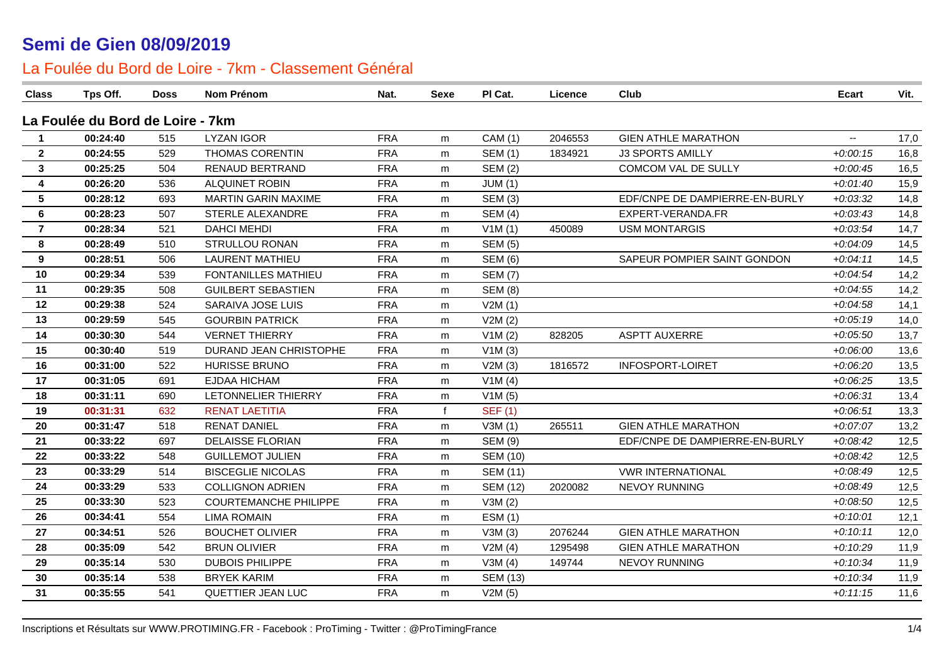| <b>Class</b>            | Tps Off.                         | Doss | <b>Nom Prénom</b>            | Nat.       | <b>Sexe</b>  | PI Cat.         | Licence | Club                           | <b>Ecart</b>             | Vit. |
|-------------------------|----------------------------------|------|------------------------------|------------|--------------|-----------------|---------|--------------------------------|--------------------------|------|
|                         | La Foulée du Bord de Loire - 7km |      |                              |            |              |                 |         |                                |                          |      |
| $\mathbf 1$             | 00:24:40                         | 515  | <b>LYZAN IGOR</b>            | <b>FRA</b> | m            | CAM (1)         | 2046553 | <b>GIEN ATHLE MARATHON</b>     | $\overline{\phantom{a}}$ | 17,0 |
| $\mathbf{2}$            | 00:24:55                         | 529  | <b>THOMAS CORENTIN</b>       | <b>FRA</b> | m            | <b>SEM (1)</b>  | 1834921 | <b>J3 SPORTS AMILLY</b>        | $+0:00:15$               | 16,8 |
| $\mathbf{3}$            | 00:25:25                         | 504  | RENAUD BERTRAND              | <b>FRA</b> | m            | <b>SEM (2)</b>  |         | COMCOM VAL DE SULLY            | $+0.00:45$               | 16,5 |
| 4                       | 00:26:20                         | 536  | ALQUINET ROBIN               | <b>FRA</b> | m            | JUM(1)          |         |                                | $+0.01:40$               | 15,9 |
| $5\phantom{1}$          | 00:28:12                         | 693  | <b>MARTIN GARIN MAXIME</b>   | <b>FRA</b> | m            | <b>SEM (3)</b>  |         | EDF/CNPE DE DAMPIERRE-EN-BURLY | $+0.03:32$               | 14,8 |
| 6                       | 00:28:23                         | 507  | STERLE ALEXANDRE             | <b>FRA</b> | m            | <b>SEM (4)</b>  |         | EXPERT-VERANDA.FR              | $+0.03:43$               | 14,8 |
| $\overline{\mathbf{7}}$ | 00:28:34                         | 521  | <b>DAHCI MEHDI</b>           | <b>FRA</b> | m            | V1M(1)          | 450089  | <b>USM MONTARGIS</b>           | $+0.03:54$               | 14,7 |
| 8                       | 00:28:49                         | 510  | STRULLOU RONAN               | <b>FRA</b> | m            | <b>SEM (5)</b>  |         |                                | $+0.04.09$               | 14,5 |
| 9                       | 00:28:51                         | 506  | <b>LAURENT MATHIEU</b>       | <b>FRA</b> | m            | <b>SEM (6)</b>  |         | SAPEUR POMPIER SAINT GONDON    | $+0.04:11$               | 14,5 |
| 10                      | 00:29:34                         | 539  | <b>FONTANILLES MATHIEU</b>   | <b>FRA</b> | m            | <b>SEM (7)</b>  |         |                                | $+0.04:54$               | 14,2 |
| 11                      | 00:29:35                         | 508  | <b>GUILBERT SEBASTIEN</b>    | <b>FRA</b> | m            | <b>SEM (8)</b>  |         |                                | $+0.04:55$               | 14,2 |
| 12                      | 00:29:38                         | 524  | SARAIVA JOSE LUIS            | <b>FRA</b> | m            | V2M(1)          |         |                                | $+0.04:58$               | 14,1 |
| 13                      | 00:29:59                         | 545  | <b>GOURBIN PATRICK</b>       | <b>FRA</b> | m            | V2M(2)          |         |                                | $+0.05:19$               | 14,0 |
| 14                      | 00:30:30                         | 544  | <b>VERNET THIERRY</b>        | <b>FRA</b> | m            | V1M(2)          | 828205  | <b>ASPTT AUXERRE</b>           | $+0.05.50$               | 13,7 |
| 15                      | 00:30:40                         | 519  | DURAND JEAN CHRISTOPHE       | <b>FRA</b> | m            | V1M(3)          |         |                                | $+0.06:00$               | 13,6 |
| 16                      | 00:31:00                         | 522  | <b>HURISSE BRUNO</b>         | <b>FRA</b> | m            | V2M(3)          | 1816572 | INFOSPORT-LOIRET               | $+0.06:20$               | 13,5 |
| 17                      | 00:31:05                         | 691  | <b>EJDAA HICHAM</b>          | <b>FRA</b> | m            | V1M(4)          |         |                                | $+0.06:25$               | 13,5 |
| 18                      | 00:31:11                         | 690  | LETONNELIER THIERRY          | <b>FRA</b> | m            | V1M(5)          |         |                                | $+0.06:31$               | 13,4 |
| 19                      | 00:31:31                         | 632  | <b>RENAT LAETITIA</b>        | <b>FRA</b> | $\mathbf{f}$ | <b>SEF (1)</b>  |         |                                | $+0.06:51$               | 13,3 |
| 20                      | 00:31:47                         | 518  | <b>RENAT DANIEL</b>          | <b>FRA</b> | m            | V3M(1)          | 265511  | <b>GIEN ATHLE MARATHON</b>     | $+0.07:07$               | 13,2 |
| 21                      | 00:33:22                         | 697  | <b>DELAISSE FLORIAN</b>      | <b>FRA</b> | m            | <b>SEM (9)</b>  |         | EDF/CNPE DE DAMPIERRE-EN-BURLY | $+0.08:42$               | 12,5 |
| 22                      | 00:33:22                         | 548  | <b>GUILLEMOT JULIEN</b>      | <b>FRA</b> | m            | <b>SEM (10)</b> |         |                                | $+0.08:42$               | 12,5 |
| 23                      | 00:33:29                         | 514  | <b>BISCEGLIE NICOLAS</b>     | <b>FRA</b> | m            | <b>SEM (11)</b> |         | <b>VWR INTERNATIONAL</b>       | $+0.08:49$               | 12,5 |
| 24                      | 00:33:29                         | 533  | <b>COLLIGNON ADRIEN</b>      | <b>FRA</b> | m            | <b>SEM (12)</b> | 2020082 | NEVOY RUNNING                  | $+0.08:49$               | 12,5 |
| 25                      | 00:33:30                         | 523  | <b>COURTEMANCHE PHILIPPE</b> | <b>FRA</b> | m            | V3M(2)          |         |                                | $+0.08:50$               | 12,5 |
| 26                      | 00:34:41                         | 554  | <b>LIMA ROMAIN</b>           | <b>FRA</b> | m            | ESM(1)          |         |                                | $+0:10:01$               | 12,1 |
| 27                      | 00:34:51                         | 526  | <b>BOUCHET OLIVIER</b>       | <b>FRA</b> | m            | V3M(3)          | 2076244 | <b>GIEN ATHLE MARATHON</b>     | $+0:10:11$               | 12,0 |
| 28                      | 00:35:09                         | 542  | <b>BRUN OLIVIER</b>          | <b>FRA</b> | m            | V2M(4)          | 1295498 | <b>GIEN ATHLE MARATHON</b>     | $+0:10:29$               | 11,9 |
| 29                      | 00:35:14                         | 530  | <b>DUBOIS PHILIPPE</b>       | <b>FRA</b> | m            | V3M(4)          | 149744  | NEVOY RUNNING                  | $+0:10:34$               | 11,9 |
| 30                      | 00:35:14                         | 538  | <b>BRYEK KARIM</b>           | <b>FRA</b> | m            | <b>SEM (13)</b> |         |                                | $+0:10:34$               | 11,9 |
| 31                      | 00:35:55                         | 541  | QUETTIER JEAN LUC            | <b>FRA</b> | m            | V2M(5)          |         |                                | $+0:11:15$               | 11,6 |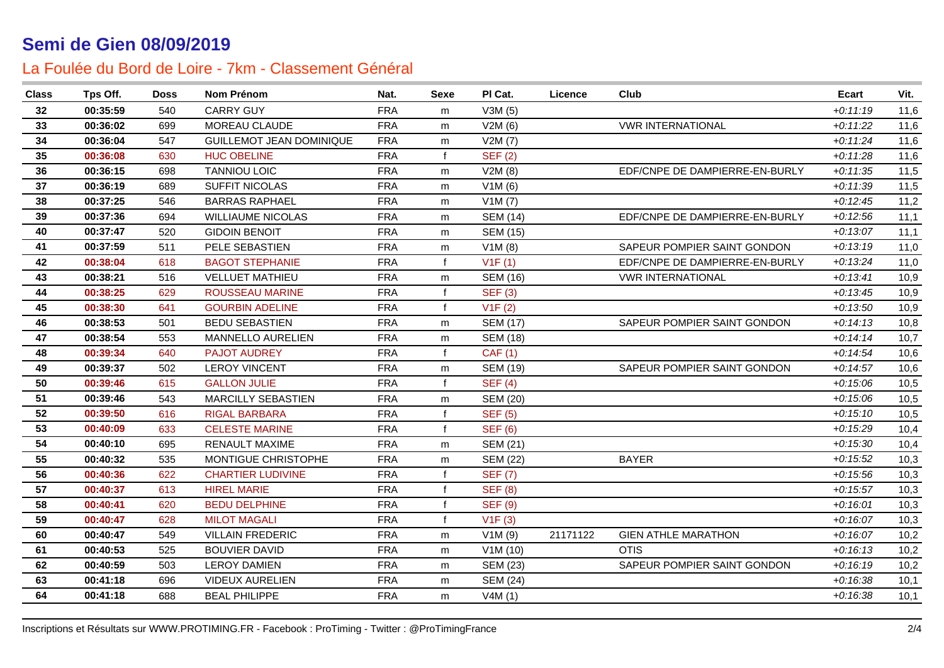| <b>Class</b> | Tps Off. | Doss | Nom Prénom                      | Nat.       | <b>Sexe</b>  | PI Cat.         | Licence  | Club                           | Ecart      | Vit. |
|--------------|----------|------|---------------------------------|------------|--------------|-----------------|----------|--------------------------------|------------|------|
| 32           | 00:35:59 | 540  | <b>CARRY GUY</b>                | <b>FRA</b> | m            | V3M(5)          |          |                                | $+0:11:19$ | 11,6 |
| 33           | 00:36:02 | 699  | MOREAU CLAUDE                   | <b>FRA</b> | m            | V2M(6)          |          | <b>VWR INTERNATIONAL</b>       | $+0:11:22$ | 11,6 |
| 34           | 00:36:04 | 547  | <b>GUILLEMOT JEAN DOMINIQUE</b> | <b>FRA</b> | m            | V2M(7)          |          |                                | $+0:11:24$ | 11,6 |
| 35           | 00:36:08 | 630  | <b>HUC OBELINE</b>              | <b>FRA</b> | f            | SEF(2)          |          |                                | $+0:11:28$ | 11,6 |
| 36           | 00:36:15 | 698  | <b>TANNIOU LOIC</b>             | <b>FRA</b> | m            | V2M(8)          |          | EDF/CNPE DE DAMPIERRE-EN-BURLY | $+0:11:35$ | 11,5 |
| 37           | 00:36:19 | 689  | SUFFIT NICOLAS                  | <b>FRA</b> | m            | V1M(6)          |          |                                | $+0:11:39$ | 11,5 |
| 38           | 00:37:25 | 546  | <b>BARRAS RAPHAEL</b>           | <b>FRA</b> | m            | V1M(7)          |          |                                | $+0:12:45$ | 11,2 |
| 39           | 00:37:36 | 694  | <b>WILLIAUME NICOLAS</b>        | <b>FRA</b> | m            | <b>SEM (14)</b> |          | EDF/CNPE DE DAMPIERRE-EN-BURLY | $+0:12:56$ | 11,1 |
| 40           | 00:37:47 | 520  | <b>GIDOIN BENOIT</b>            | <b>FRA</b> | m            | <b>SEM (15)</b> |          |                                | $+0:13:07$ | 11,1 |
| 41           | 00:37:59 | 511  | PELE SEBASTIEN                  | <b>FRA</b> | m            | V1M(8)          |          | SAPEUR POMPIER SAINT GONDON    | $+0:13:19$ | 11,0 |
| 42           | 00:38:04 | 618  | <b>BAGOT STEPHANIE</b>          | <b>FRA</b> | $\mathbf{f}$ | V1F(1)          |          | EDF/CNPE DE DAMPIERRE-EN-BURLY | $+0:13:24$ | 11,0 |
| 43           | 00:38:21 | 516  | <b>VELLUET MATHIEU</b>          | <b>FRA</b> | m            | <b>SEM (16)</b> |          | <b>VWR INTERNATIONAL</b>       | $+0.13:41$ | 10,9 |
| 44           | 00:38:25 | 629  | <b>ROUSSEAU MARINE</b>          | <b>FRA</b> | f            | <b>SEF (3)</b>  |          |                                | $+0:13:45$ | 10,9 |
| 45           | 00:38:30 | 641  | <b>GOURBIN ADELINE</b>          | <b>FRA</b> | $\mathbf{f}$ | V1F(2)          |          |                                | $+0:13:50$ | 10,9 |
| 46           | 00:38:53 | 501  | <b>BEDU SEBASTIEN</b>           | <b>FRA</b> | m            | <b>SEM (17)</b> |          | SAPEUR POMPIER SAINT GONDON    | $+0:14:13$ | 10,8 |
| 47           | 00:38:54 | 553  | <b>MANNELLO AURELIEN</b>        | <b>FRA</b> | m            | <b>SEM (18)</b> |          |                                | $+0.14:14$ | 10,7 |
| 48           | 00:39:34 | 640  | <b>PAJOT AUDREY</b>             | <b>FRA</b> | $\mathbf{f}$ | <b>CAF (1)</b>  |          |                                | $+0.14.54$ | 10,6 |
| 49           | 00:39:37 | 502  | <b>LEROY VINCENT</b>            | <b>FRA</b> | m            | <b>SEM (19)</b> |          | SAPEUR POMPIER SAINT GONDON    | $+0:14:57$ | 10,6 |
| 50           | 00:39:46 | 615  | <b>GALLON JULIE</b>             | <b>FRA</b> | $\mathbf{f}$ | <b>SEF (4)</b>  |          |                                | $+0:15:06$ | 10,5 |
| 51           | 00:39:46 | 543  | <b>MARCILLY SEBASTIEN</b>       | <b>FRA</b> | m            | <b>SEM (20)</b> |          |                                | $+0:15:06$ | 10,5 |
| 52           | 00:39:50 | 616  | <b>RIGAL BARBARA</b>            | <b>FRA</b> | f            | <b>SEF (5)</b>  |          |                                | $+0:15:10$ | 10,5 |
| 53           | 00:40:09 | 633  | <b>CELESTE MARINE</b>           | <b>FRA</b> | f            | <b>SEF (6)</b>  |          |                                | $+0.15.29$ | 10,4 |
| 54           | 00:40:10 | 695  | RENAULT MAXIME                  | <b>FRA</b> | m            | <b>SEM (21)</b> |          |                                | $+0:15:30$ | 10,4 |
| 55           | 00:40:32 | 535  | MONTIGUE CHRISTOPHE             | <b>FRA</b> | m            | <b>SEM (22)</b> |          | <b>BAYER</b>                   | $+0:15:52$ | 10,3 |
| 56           | 00:40:36 | 622  | <b>CHARTIER LUDIVINE</b>        | <b>FRA</b> | f            | <b>SEF (7)</b>  |          |                                | $+0.15.56$ | 10,3 |
| 57           | 00:40:37 | 613  | <b>HIREL MARIE</b>              | <b>FRA</b> |              | <b>SEF (8)</b>  |          |                                | $+0:15:57$ | 10,3 |
| 58           | 00:40:41 | 620  | <b>BEDU DELPHINE</b>            | <b>FRA</b> |              | <b>SEF (9)</b>  |          |                                | $+0.16:01$ | 10,3 |
| 59           | 00:40:47 | 628  | <b>MILOT MAGALI</b>             | <b>FRA</b> | $\mathbf{f}$ | V1F(3)          |          |                                | $+0:16:07$ | 10,3 |
| 60           | 00:40:47 | 549  | <b>VILLAIN FREDERIC</b>         | <b>FRA</b> | m            | V1M(9)          | 21171122 | <b>GIEN ATHLE MARATHON</b>     | $+0:16:07$ | 10,2 |
| 61           | 00:40:53 | 525  | <b>BOUVIER DAVID</b>            | <b>FRA</b> | m            | V1M(10)         |          | <b>OTIS</b>                    | $+0.16:13$ | 10,2 |
| 62           | 00:40:59 | 503  | <b>LEROY DAMIEN</b>             | <b>FRA</b> | m            | <b>SEM (23)</b> |          | SAPEUR POMPIER SAINT GONDON    | $+0:16:19$ | 10,2 |
| 63           | 00:41:18 | 696  | <b>VIDEUX AURELIEN</b>          | <b>FRA</b> | m            | <b>SEM (24)</b> |          |                                | $+0.16.38$ | 10,1 |
| 64           | 00:41:18 | 688  | <b>BEAL PHILIPPE</b>            | <b>FRA</b> | m            | V4M(1)          |          |                                | $+0.16.38$ | 10,1 |
|              |          |      |                                 |            |              |                 |          |                                |            |      |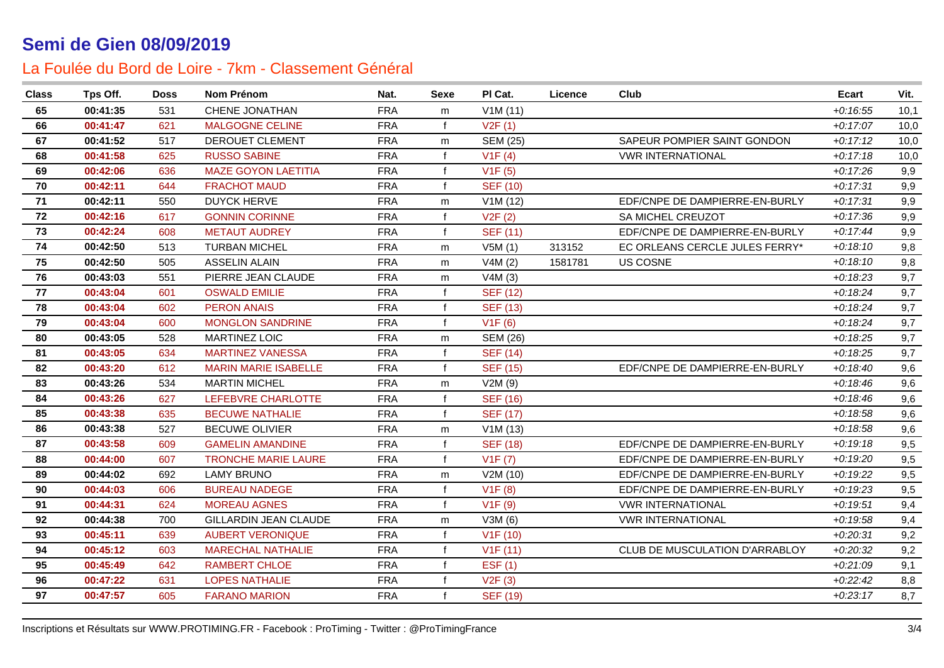| <b>Class</b> | Tps Off. | Doss | Nom Prénom                   | Nat.       | <b>Sexe</b>  | PI Cat.         | Licence | Club                           | Ecart      | Vit. |
|--------------|----------|------|------------------------------|------------|--------------|-----------------|---------|--------------------------------|------------|------|
| 65           | 00:41:35 | 531  | CHENE JONATHAN               | <b>FRA</b> | m            | V1M(11)         |         |                                | $+0:16:55$ | 10,1 |
| 66           | 00:41:47 | 621  | <b>MALGOGNE CELINE</b>       | <b>FRA</b> | $\mathbf{f}$ | V2F(1)          |         |                                | $+0:17:07$ | 10,0 |
| 67           | 00:41:52 | 517  | DEROUET CLEMENT              | <b>FRA</b> | m            | <b>SEM (25)</b> |         | SAPEUR POMPIER SAINT GONDON    | $+0:17:12$ | 10,0 |
| 68           | 00:41:58 | 625  | <b>RUSSO SABINE</b>          | <b>FRA</b> | $\mathbf{f}$ | V1F(4)          |         | <b>VWR INTERNATIONAL</b>       | $+0:17:18$ | 10,0 |
| 69           | 00:42:06 | 636  | <b>MAZE GOYON LAETITIA</b>   | <b>FRA</b> | f            | V1F(5)          |         |                                | $+0:17:26$ | 9,9  |
| 70           | 00:42:11 | 644  | <b>FRACHOT MAUD</b>          | <b>FRA</b> | $\mathbf{f}$ | <b>SEF (10)</b> |         |                                | $+0:17:31$ | 9,9  |
| 71           | 00:42:11 | 550  | <b>DUYCK HERVE</b>           | <b>FRA</b> | m            | V1M(12)         |         | EDF/CNPE DE DAMPIERRE-EN-BURLY | $+0:17:31$ | 9,9  |
| 72           | 00:42:16 | 617  | <b>GONNIN CORINNE</b>        | <b>FRA</b> | $\mathbf{f}$ | V2F(2)          |         | SA MICHEL CREUZOT              | $+0:17:36$ | 9,9  |
| 73           | 00:42:24 | 608  | <b>METAUT AUDREY</b>         | <b>FRA</b> | $\mathbf{f}$ | <b>SEF (11)</b> |         | EDF/CNPE DE DAMPIERRE-EN-BURLY | $+0:17:44$ | 9,9  |
| 74           | 00:42:50 | 513  | <b>TURBAN MICHEL</b>         | <b>FRA</b> | m            | V5M(1)          | 313152  | EC ORLEANS CERCLE JULES FERRY* | $+0.18:10$ | 9,8  |
| 75           | 00:42:50 | 505  | <b>ASSELIN ALAIN</b>         | <b>FRA</b> | m            | V4M(2)          | 1581781 | US COSNE                       | $+0.18:10$ | 9,8  |
| 76           | 00:43:03 | 551  | PIERRE JEAN CLAUDE           | <b>FRA</b> | m            | V4M(3)          |         |                                | $+0.18.23$ | 9,7  |
| 77           | 00:43:04 | 601  | <b>OSWALD EMILIE</b>         | <b>FRA</b> | $\mathbf{f}$ | <b>SEF (12)</b> |         |                                | $+0.18:24$ | 9,7  |
| 78           | 00:43:04 | 602  | <b>PERON ANAIS</b>           | <b>FRA</b> | $\mathbf{f}$ | <b>SEF (13)</b> |         |                                | $+0:18:24$ | 9,7  |
| 79           | 00:43:04 | 600  | <b>MONGLON SANDRINE</b>      | <b>FRA</b> | f            | V1F(6)          |         |                                | $+0.18.24$ | 9,7  |
| 80           | 00:43:05 | 528  | <b>MARTINEZ LOIC</b>         | <b>FRA</b> | m            | <b>SEM (26)</b> |         |                                | $+0:18:25$ | 9,7  |
| 81           | 00:43:05 | 634  | <b>MARTINEZ VANESSA</b>      | <b>FRA</b> | $\mathbf{f}$ | <b>SEF (14)</b> |         |                                | $+0:18:25$ | 9,7  |
| 82           | 00:43:20 | 612  | <b>MARIN MARIE ISABELLE</b>  | <b>FRA</b> | $\mathbf{f}$ | <b>SEF (15)</b> |         | EDF/CNPE DE DAMPIERRE-EN-BURLY | $+0.18:40$ | 9,6  |
| 83           | 00:43:26 | 534  | <b>MARTIN MICHEL</b>         | <b>FRA</b> | m            | V2M(9)          |         |                                | $+0.18:46$ | 9,6  |
| 84           | 00:43:26 | 627  | LEFEBVRE CHARLOTTE           | <b>FRA</b> | $\mathsf{f}$ | <b>SEF (16)</b> |         |                                | $+0.18:46$ | 9,6  |
| 85           | 00:43:38 | 635  | <b>BECUWE NATHALIE</b>       | <b>FRA</b> | $\mathbf{f}$ | <b>SEF (17)</b> |         |                                | $+0.18.58$ | 9,6  |
| 86           | 00:43:38 | 527  | <b>BECUWE OLIVIER</b>        | <b>FRA</b> | m            | V1M(13)         |         |                                | $+0.18.58$ | 9,6  |
| 87           | 00:43:58 | 609  | <b>GAMELIN AMANDINE</b>      | <b>FRA</b> | $\mathsf{f}$ | <b>SEF (18)</b> |         | EDF/CNPE DE DAMPIERRE-EN-BURLY | $+0:19:18$ | 9,5  |
| 88           | 00:44:00 | 607  | <b>TRONCHE MARIE LAURE</b>   | <b>FRA</b> | $\mathbf{f}$ | V1F(7)          |         | EDF/CNPE DE DAMPIERRE-EN-BURLY | $+0.19:20$ | 9,5  |
| 89           | 00:44:02 | 692  | <b>LAMY BRUNO</b>            | <b>FRA</b> | m            | V2M (10)        |         | EDF/CNPE DE DAMPIERRE-EN-BURLY | $+0.19:22$ | 9,5  |
| 90           | 00:44:03 | 606  | <b>BUREAU NADEGE</b>         | <b>FRA</b> | $\mathsf{f}$ | V1F(8)          |         | EDF/CNPE DE DAMPIERRE-EN-BURLY | $+0.19.23$ | 9,5  |
| 91           | 00:44:31 | 624  | <b>MOREAU AGNES</b>          | <b>FRA</b> | $\mathbf{f}$ | V1F(9)          |         | <b>VWR INTERNATIONAL</b>       | $+0.19.51$ | 9,4  |
| 92           | 00:44:38 | 700  | <b>GILLARDIN JEAN CLAUDE</b> | <b>FRA</b> | m            | V3M (6)         |         | <b>VWR INTERNATIONAL</b>       | $+0.19.58$ | 9,4  |
| 93           | 00:45:11 | 639  | <b>AUBERT VERONIQUE</b>      | <b>FRA</b> | $\mathsf{f}$ | V1F(10)         |         |                                | $+0.20.31$ | 9,2  |
| 94           | 00:45:12 | 603  | <b>MARECHAL NATHALIE</b>     | <b>FRA</b> | $\mathbf{f}$ | V1F(11)         |         | CLUB DE MUSCULATION D'ARRABLOY | $+0.20.32$ | 9,2  |
| 95           | 00:45:49 | 642  | <b>RAMBERT CHLOE</b>         | <b>FRA</b> | $\mathbf{f}$ | EST(1)          |         |                                | $+0.21.09$ | 9,1  |
| 96           | 00:47:22 | 631  | <b>LOPES NATHALIE</b>        | <b>FRA</b> |              | V2F(3)          |         |                                | $+0.22:42$ | 8,8  |
| 97           | 00:47:57 | 605  | <b>FARANO MARION</b>         | <b>FRA</b> | f            | <b>SEF (19)</b> |         |                                | $+0.23:17$ | 8,7  |
|              |          |      |                              |            |              |                 |         |                                |            |      |